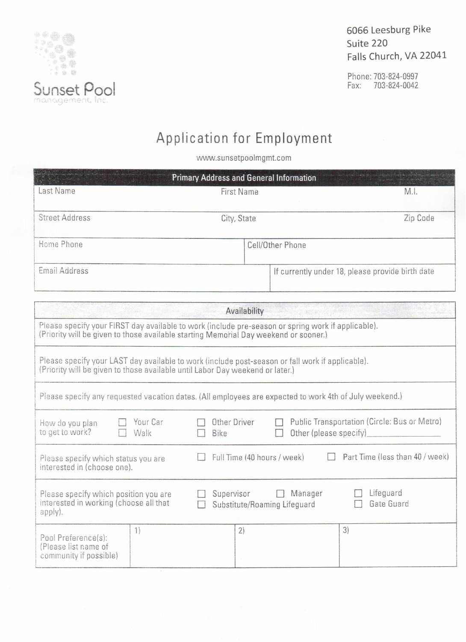

Phone: 703-824-0997 Fax: 703-824-0042



www.sunsetpoolmgmt.com

| <b>Primary Address and General Information</b>                                                                                                                                             |                                            |                |                                                  |  |  |
|--------------------------------------------------------------------------------------------------------------------------------------------------------------------------------------------|--------------------------------------------|----------------|--------------------------------------------------|--|--|
| Last Name                                                                                                                                                                                  | <b>First Name</b>                          |                |                                                  |  |  |
| <b>Street Address</b>                                                                                                                                                                      |                                            |                |                                                  |  |  |
|                                                                                                                                                                                            | City, State                                |                | Zip Code                                         |  |  |
| Home Phone                                                                                                                                                                                 | Cell/Other Phone                           |                |                                                  |  |  |
| Email Address                                                                                                                                                                              |                                            |                | If currently under 18, please provide birth date |  |  |
|                                                                                                                                                                                            | Availability                               |                |                                                  |  |  |
| Please specify your FIRST day available to work (include pre-season or spring work if applicable).<br>(Priority will be given to those available starting Memorial Day weekend or sooner.) |                                            |                |                                                  |  |  |
| Please specify your LAST day available to work (include post-season or fall work if applicable).<br>(Priority will be given to those available until Labor Day weekend or later.)          |                                            |                |                                                  |  |  |
| Please specify any requested vacation dates. (All employees are expected to work 4th of July weekend.)                                                                                     |                                            |                |                                                  |  |  |
| Your Car<br>How do you plan<br>to get to work?<br>Walk                                                                                                                                     | Other Driver<br>Bike                       |                | Public Transportation (Circle: Bus or Metro)     |  |  |
| Please specify which status you are<br>interested in (choose one).                                                                                                                         | Full Time (40 hours / week)                |                | Part Time (less than 40 / week)                  |  |  |
| Please specify which position you are<br>interested in working (choose all that<br>apply).                                                                                                 | Supervisor<br>Substitute/Roaming Lifeguard | $\Box$ Manager | Lifeguard<br>Gate Guard                          |  |  |
| $\frac{1}{\sqrt{2}}$<br>Pool Preference(s):<br>(Please list name of<br>community if possible)                                                                                              | 2)                                         |                | 3)                                               |  |  |

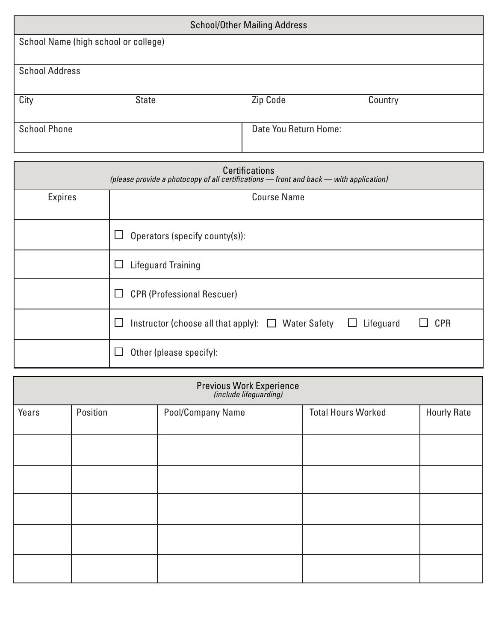| <b>School/Other Mailing Address</b>                                                                             |                                                 |                       |                         |
|-----------------------------------------------------------------------------------------------------------------|-------------------------------------------------|-----------------------|-------------------------|
| School Name (high school or college)                                                                            |                                                 |                       |                         |
| <b>School Address</b>                                                                                           |                                                 |                       |                         |
| City                                                                                                            | <b>State</b>                                    | <b>Zip Code</b>       | Country                 |
| <b>School Phone</b>                                                                                             |                                                 | Date You Return Home: |                         |
|                                                                                                                 |                                                 |                       |                         |
| <b>Certifications</b><br>(please provide a photocopy of all certifications - front and back - with application) |                                                 |                       |                         |
| Expires                                                                                                         |                                                 | <b>Course Name</b>    |                         |
|                                                                                                                 | Operators (specify county(s)):<br>ப             |                       |                         |
|                                                                                                                 | <b>Lifeguard Training</b><br>ப                  |                       |                         |
|                                                                                                                 | <b>CPR (Professional Rescuer)</b><br>ப          |                       |                         |
|                                                                                                                 | Instructor (choose all that apply): $\Box$<br>└ | <b>Water Safety</b>   | <b>CPR</b><br>Lifeguard |
|                                                                                                                 | Other (please specify):<br>$\Box$               |                       |                         |

| Previous Work Experience<br>(include lifeguarding) |          |                   |                           |                    |
|----------------------------------------------------|----------|-------------------|---------------------------|--------------------|
| Years                                              | Position | Pool/Company Name | <b>Total Hours Worked</b> | <b>Hourly Rate</b> |
|                                                    |          |                   |                           |                    |
|                                                    |          |                   |                           |                    |
|                                                    |          |                   |                           |                    |
|                                                    |          |                   |                           |                    |
|                                                    |          |                   |                           |                    |